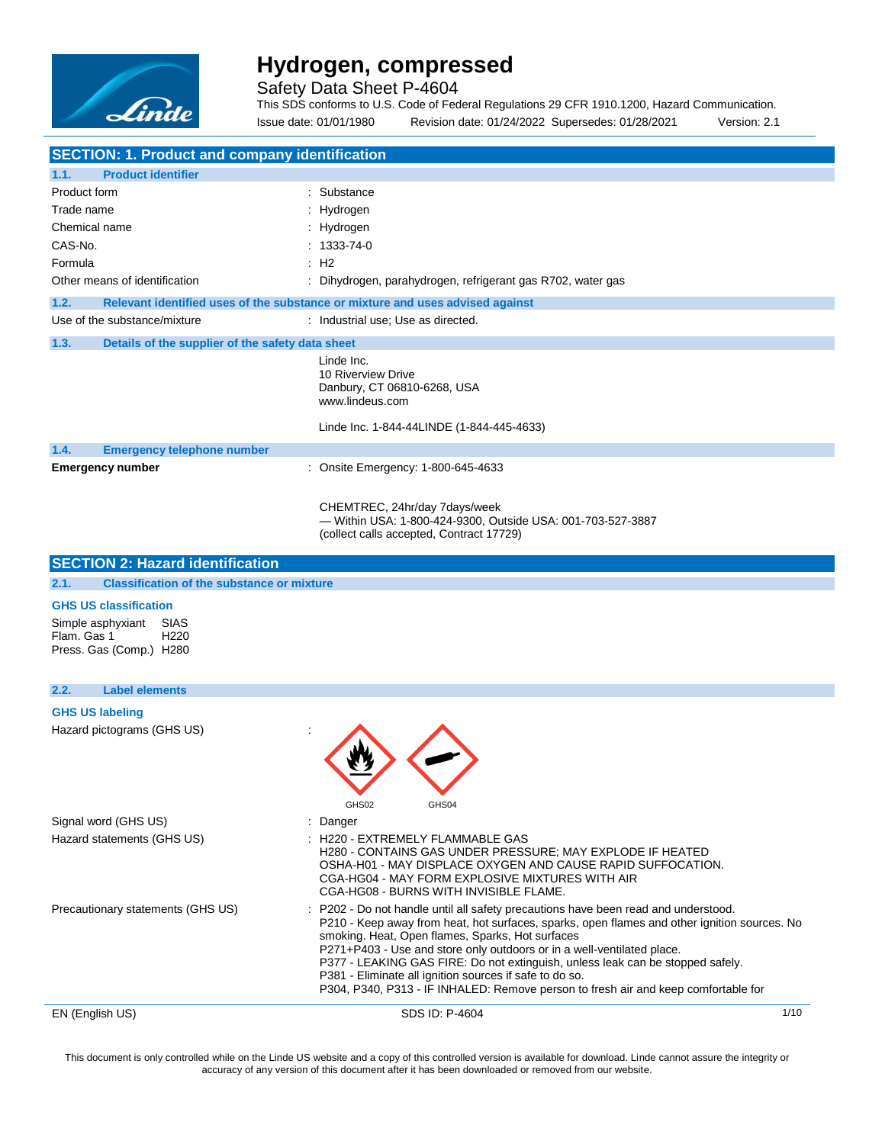

Safety Data Sheet P-4604

This SDS conforms to U.S. Code of Federal Regulations 29 CFR 1910.1200, Hazard Communication. Issue date: 01/01/1980 Revision date: 01/24/2022 Supersedes: 01/28/2021 Version: 2.1

| <b>SECTION: 1. Product and company identification</b>                                   |                                                                                                                                                                                                                                                                                                                                                                                                                                                                                                                                                   |      |  |  |  |
|-----------------------------------------------------------------------------------------|---------------------------------------------------------------------------------------------------------------------------------------------------------------------------------------------------------------------------------------------------------------------------------------------------------------------------------------------------------------------------------------------------------------------------------------------------------------------------------------------------------------------------------------------------|------|--|--|--|
| <b>Product identifier</b><br>1.1.                                                       |                                                                                                                                                                                                                                                                                                                                                                                                                                                                                                                                                   |      |  |  |  |
| Product form                                                                            | : Substance                                                                                                                                                                                                                                                                                                                                                                                                                                                                                                                                       |      |  |  |  |
| Trade name                                                                              | : Hydrogen                                                                                                                                                                                                                                                                                                                                                                                                                                                                                                                                        |      |  |  |  |
| Chemical name                                                                           | : Hydrogen                                                                                                                                                                                                                                                                                                                                                                                                                                                                                                                                        |      |  |  |  |
| CAS-No.                                                                                 | $: 1333 - 74 - 0$                                                                                                                                                                                                                                                                                                                                                                                                                                                                                                                                 |      |  |  |  |
| Formula                                                                                 | : H2                                                                                                                                                                                                                                                                                                                                                                                                                                                                                                                                              |      |  |  |  |
| Other means of identification                                                           | : Dihydrogen, parahydrogen, refrigerant gas R702, water gas                                                                                                                                                                                                                                                                                                                                                                                                                                                                                       |      |  |  |  |
| 1.2.                                                                                    | Relevant identified uses of the substance or mixture and uses advised against                                                                                                                                                                                                                                                                                                                                                                                                                                                                     |      |  |  |  |
| Use of the substance/mixture                                                            | : Industrial use; Use as directed.                                                                                                                                                                                                                                                                                                                                                                                                                                                                                                                |      |  |  |  |
| 1.3.<br>Details of the supplier of the safety data sheet                                |                                                                                                                                                                                                                                                                                                                                                                                                                                                                                                                                                   |      |  |  |  |
|                                                                                         | Linde Inc.<br>10 Riverview Drive<br>Danbury, CT 06810-6268, USA<br>www.lindeus.com                                                                                                                                                                                                                                                                                                                                                                                                                                                                |      |  |  |  |
|                                                                                         | Linde Inc. 1-844-44LINDE (1-844-445-4633)                                                                                                                                                                                                                                                                                                                                                                                                                                                                                                         |      |  |  |  |
| 1.4.<br><b>Emergency telephone number</b>                                               |                                                                                                                                                                                                                                                                                                                                                                                                                                                                                                                                                   |      |  |  |  |
| <b>Emergency number</b>                                                                 | : Onsite Emergency: 1-800-645-4633                                                                                                                                                                                                                                                                                                                                                                                                                                                                                                                |      |  |  |  |
|                                                                                         | CHEMTREC, 24hr/day 7days/week<br>- Within USA: 1-800-424-9300, Outside USA: 001-703-527-3887<br>(collect calls accepted, Contract 17729)                                                                                                                                                                                                                                                                                                                                                                                                          |      |  |  |  |
| <b>SECTION 2: Hazard identification</b>                                                 |                                                                                                                                                                                                                                                                                                                                                                                                                                                                                                                                                   |      |  |  |  |
| 2.1.<br><b>Classification of the substance or mixture</b>                               |                                                                                                                                                                                                                                                                                                                                                                                                                                                                                                                                                   |      |  |  |  |
| <b>GHS US classification</b>                                                            |                                                                                                                                                                                                                                                                                                                                                                                                                                                                                                                                                   |      |  |  |  |
| Simple asphyxiant<br>SIAS<br>Flam. Gas 1<br>H <sub>220</sub><br>Press. Gas (Comp.) H280 |                                                                                                                                                                                                                                                                                                                                                                                                                                                                                                                                                   |      |  |  |  |
| <b>Label elements</b><br>2.2.                                                           |                                                                                                                                                                                                                                                                                                                                                                                                                                                                                                                                                   |      |  |  |  |
| <b>GHS US labeling</b>                                                                  |                                                                                                                                                                                                                                                                                                                                                                                                                                                                                                                                                   |      |  |  |  |
| Hazard pictograms (GHS US)                                                              | GHS02<br>GHS04                                                                                                                                                                                                                                                                                                                                                                                                                                                                                                                                    |      |  |  |  |
| Signal word (GHS US)                                                                    | : Danger                                                                                                                                                                                                                                                                                                                                                                                                                                                                                                                                          |      |  |  |  |
| Hazard statements (GHS US)                                                              | : H220 - EXTREMELY FLAMMABLE GAS<br>H280 - CONTAINS GAS UNDER PRESSURE; MAY EXPLODE IF HEATED<br>OSHA-H01 - MAY DISPLACE OXYGEN AND CAUSE RAPID SUFFOCATION.<br>CGA-HG04 - MAY FORM EXPLOSIVE MIXTURES WITH AIR<br>CGA-HG08 - BURNS WITH INVISIBLE FLAME.                                                                                                                                                                                                                                                                                         |      |  |  |  |
| Precautionary statements (GHS US)                                                       | P202 - Do not handle until all safety precautions have been read and understood.<br>P210 - Keep away from heat, hot surfaces, sparks, open flames and other ignition sources. No<br>smoking. Heat, Open flames, Sparks, Hot surfaces<br>P271+P403 - Use and store only outdoors or in a well-ventilated place.<br>P377 - LEAKING GAS FIRE: Do not extinguish, unless leak can be stopped safely.<br>P381 - Eliminate all ignition sources if safe to do so.<br>P304, P340, P313 - IF INHALED: Remove person to fresh air and keep comfortable for |      |  |  |  |
| EN (English US)                                                                         | SDS ID: P-4604                                                                                                                                                                                                                                                                                                                                                                                                                                                                                                                                    | 1/10 |  |  |  |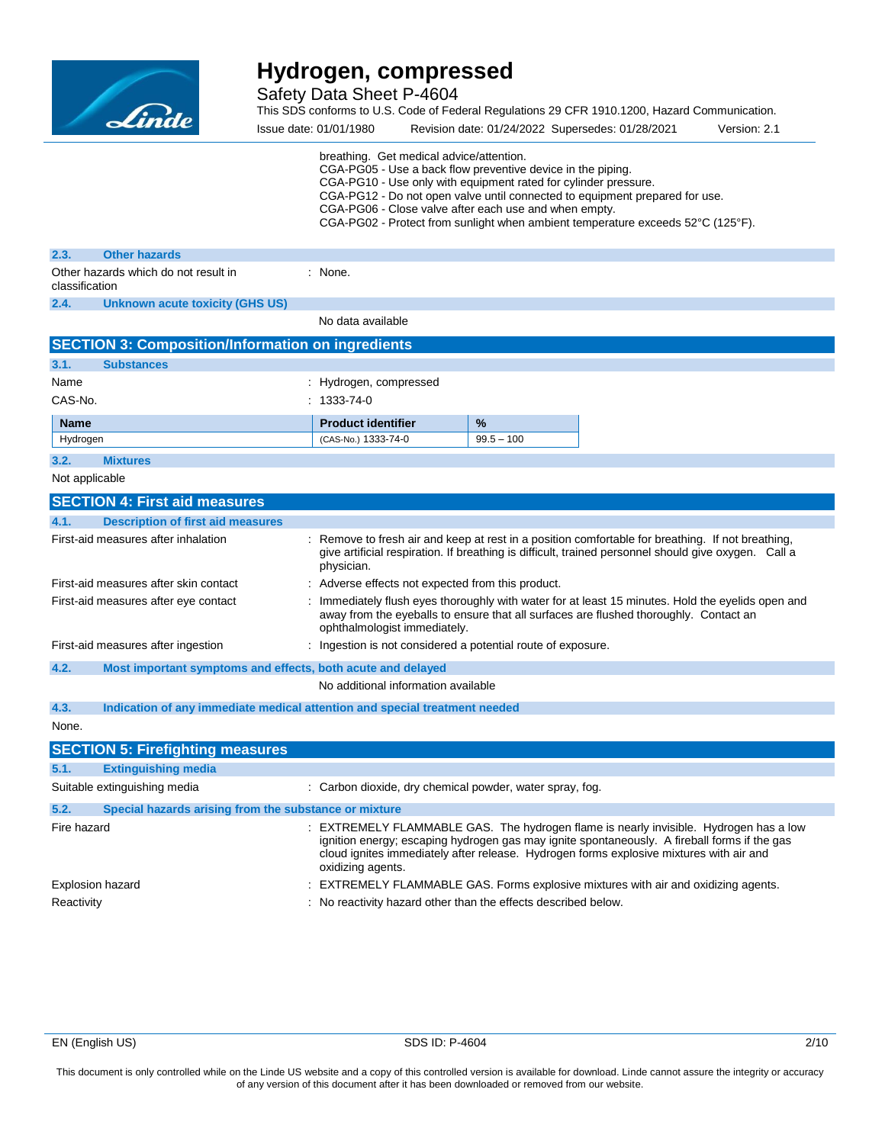

Safety Data Sheet P-4604

This SDS conforms to U.S. Code of Federal Regulations 29 CFR 1910.1200, Hazard Communication.

Issue date: 01/01/1980 Revision date: 01/24/2022 Supersedes: 01/28/2021 Version: 2.1 breathing. Get medical advice/attention. CGA-PG05 - Use a back flow preventive device in the piping. CGA-PG10 - Use only with equipment rated for cylinder pressure. CGA-PG12 - Do not open valve until connected to equipment prepared for use. CGA-PG06 - Close valve after each use and when empty. CGA-PG02 - Protect from sunlight when ambient temperature exceeds 52°C (125°F). **2.3. Other hazards** Other hazards which do not result in classification : None. **2.4. Unknown acute toxicity (GHS US)** No data available **SECTION 3: Composition/Information on ingredients 3.1. Substances** Name : Hydrogen, compressed CAS-No. : 1333-74-0 **Name Product identifier 1**% Hydrogen (CAS-No.) 1333-74-0 99.5 – 100 **3.2. Mixtures** Not applicable **SECTION 4: First aid measures 4.1. Description of first aid measures** First-aid measures after inhalation : Remove to fresh air and keep at rest in a position comfortable for breathing. If not breathing, give artificial respiration. If breathing is difficult, trained personnel should give oxygen. Call a physician. First-aid measures after skin contact : Adverse effects not expected from this product. First-aid measures after eye contact **induct** : Immediately flush eyes thoroughly with water for at least 15 minutes. Hold the eyelids open and away from the eyeballs to ensure that all surfaces are flushed thoroughly. Contact an ophthalmologist immediately. First-aid measures after ingestion : Ingestion is not considered a potential route of exposure. **4.2. Most important symptoms and effects, both acute and delayed** No additional information available **4.3. Indication of any immediate medical attention and special treatment needed** None. **SECTION 5: Firefighting measures 5.1. Extinguishing media** Suitable extinguishing media : Carbon dioxide, dry chemical powder, water spray, fog. **5.2. Special hazards arising from the substance or mixture** Fire hazard **EXTREMELY FLAMMABLE GAS.** The hydrogen flame is nearly invisible. Hydrogen has a low ignition energy; escaping hydrogen gas may ignite spontaneously. A fireball forms if the gas cloud ignites immediately after release. Hydrogen forms explosive mixtures with air and oxidizing agents.

Explosion hazard **EXTREMELY FLAMMABLE GAS. Forms explosive mixtures with air and oxidizing agents.** 

Reactivity **Example 20** Reactivity in the effects described below.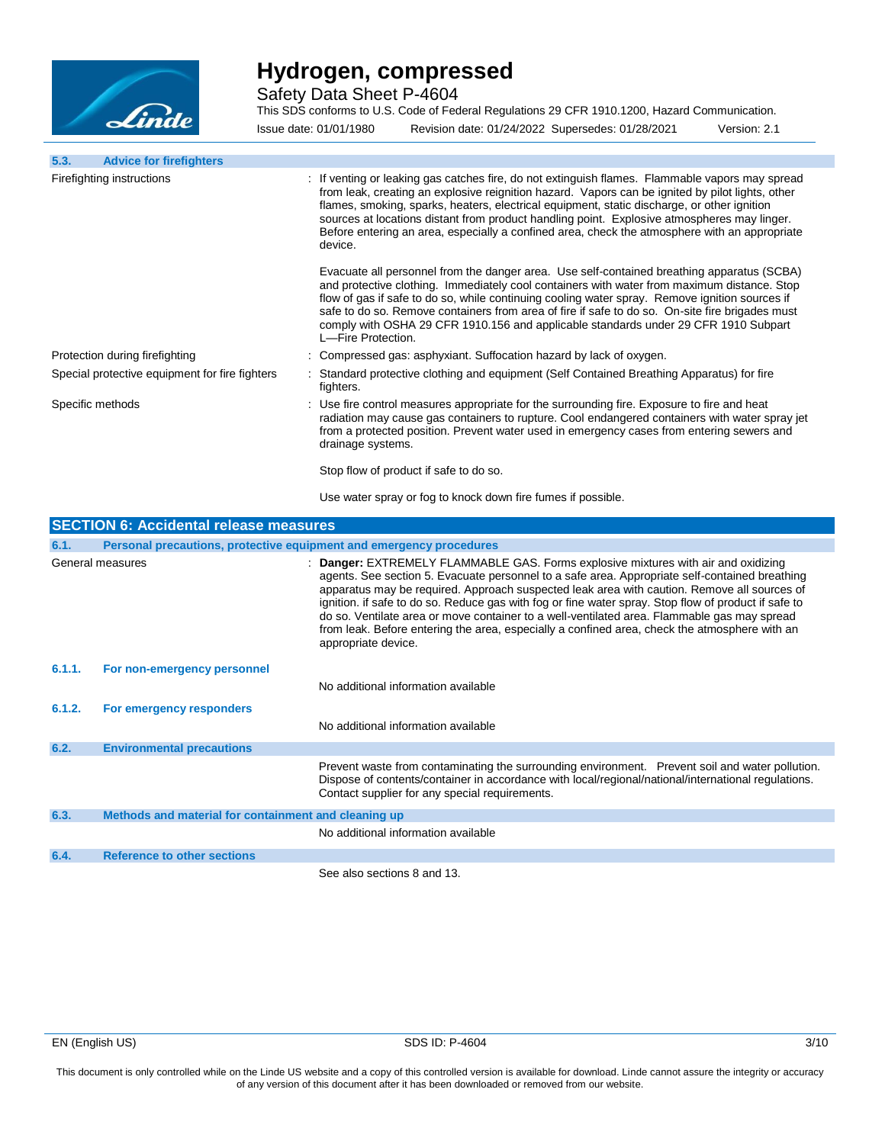

Safety Data Sheet P-4604

This SDS conforms to U.S. Code of Federal Regulations 29 CFR 1910.1200, Hazard Communication. Issue date: 01/01/1980 Revision date: 01/24/2022 Supersedes: 01/28/2021 Version: 2.1

**5.3. Advice for firefighters** Firefighting instructions : If venting or leaking gas catches fire, do not extinguish flames. Flammable vapors may spread from leak, creating an explosive reignition hazard. Vapors can be ignited by pilot lights, other flames, smoking, sparks, heaters, electrical equipment, static discharge, or other ignition sources at locations distant from product handling point. Explosive atmospheres may linger. Before entering an area, especially a confined area, check the atmosphere with an appropriate device. Evacuate all personnel from the danger area. Use self-contained breathing apparatus (SCBA) and protective clothing. Immediately cool containers with water from maximum distance. Stop flow of gas if safe to do so, while continuing cooling water spray. Remove ignition sources if safe to do so. Remove containers from area of fire if safe to do so. On-site fire brigades must comply with OSHA 29 CFR 1910.156 and applicable standards under 29 CFR 1910 Subpart L—Fire Protection. Protection during firefighting : Compressed gas: asphyxiant. Suffocation hazard by lack of oxygen. Special protective equipment for fire fighters : Standard protective clothing and equipment (Self Contained Breathing Apparatus) for fire fighters.

Specific methods **Specific methods** : Use fire control measures appropriate for the surrounding fire. Exposure to fire and heat radiation may cause gas containers to rupture. Cool endangered containers with water spray jet from a protected position. Prevent water used in emergency cases from entering sewers and drainage systems.

Stop flow of product if safe to do so.

Use water spray or fog to knock down fire fumes if possible.

|        | <b>SECTION 6: Accidental release measures</b>                       |                                                                                                                                                                                                                                                                                                                                                                                                                                                                                                                                                                                                                    |
|--------|---------------------------------------------------------------------|--------------------------------------------------------------------------------------------------------------------------------------------------------------------------------------------------------------------------------------------------------------------------------------------------------------------------------------------------------------------------------------------------------------------------------------------------------------------------------------------------------------------------------------------------------------------------------------------------------------------|
| 6.1.   | Personal precautions, protective equipment and emergency procedures |                                                                                                                                                                                                                                                                                                                                                                                                                                                                                                                                                                                                                    |
|        | General measures                                                    | : Danger: EXTREMELY FLAMMABLE GAS. Forms explosive mixtures with air and oxidizing<br>agents. See section 5. Evacuate personnel to a safe area. Appropriate self-contained breathing<br>apparatus may be required. Approach suspected leak area with caution. Remove all sources of<br>ignition. if safe to do so. Reduce gas with fog or fine water spray. Stop flow of product if safe to<br>do so. Ventilate area or move container to a well-ventilated area. Flammable gas may spread<br>from leak. Before entering the area, especially a confined area, check the atmosphere with an<br>appropriate device. |
| 6.1.1. | For non-emergency personnel                                         |                                                                                                                                                                                                                                                                                                                                                                                                                                                                                                                                                                                                                    |
|        |                                                                     | No additional information available                                                                                                                                                                                                                                                                                                                                                                                                                                                                                                                                                                                |
| 6.1.2. | For emergency responders                                            |                                                                                                                                                                                                                                                                                                                                                                                                                                                                                                                                                                                                                    |
|        |                                                                     | No additional information available                                                                                                                                                                                                                                                                                                                                                                                                                                                                                                                                                                                |
| 6.2.   | <b>Environmental precautions</b>                                    |                                                                                                                                                                                                                                                                                                                                                                                                                                                                                                                                                                                                                    |
|        |                                                                     | Prevent waste from contaminating the surrounding environment. Prevent soil and water pollution.<br>Dispose of contents/container in accordance with local/regional/national/international regulations.<br>Contact supplier for any special requirements.                                                                                                                                                                                                                                                                                                                                                           |
| 6.3.   | Methods and material for containment and cleaning up                |                                                                                                                                                                                                                                                                                                                                                                                                                                                                                                                                                                                                                    |
|        |                                                                     | No additional information available                                                                                                                                                                                                                                                                                                                                                                                                                                                                                                                                                                                |
| 6.4.   | <b>Reference to other sections</b>                                  |                                                                                                                                                                                                                                                                                                                                                                                                                                                                                                                                                                                                                    |
|        |                                                                     | See also sections 8 and 13.                                                                                                                                                                                                                                                                                                                                                                                                                                                                                                                                                                                        |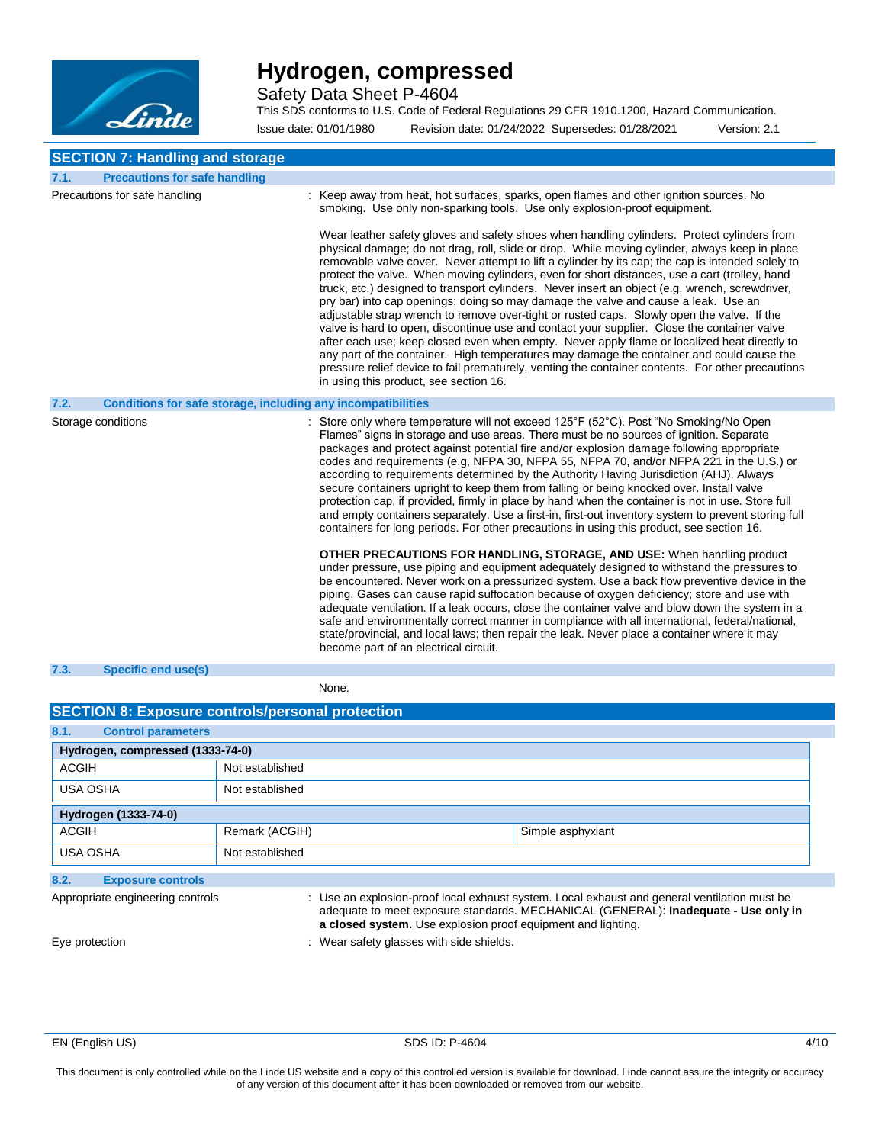

Safety Data Sheet P-4604

This SDS conforms to U.S. Code of Federal Regulations 29 CFR 1910.1200, Hazard Communication.

Issue date: 01/01/1980 Revision date: 01/24/2022 Supersedes: 01/28/2021 Version: 2.1

### **SECTION 7: Handling and storage**

| 7.1. | <b>Precautions for safe handling</b>                         |                                                                                                                                                                                                                                                                                                                                                                                                                                                                                                                                                                                                                                                                                                                                                                                                                                                                                                                                                                                                                                                                                                                                                                                                                                                                                                                                                                                                                                                                                                                                                                                                      |
|------|--------------------------------------------------------------|------------------------------------------------------------------------------------------------------------------------------------------------------------------------------------------------------------------------------------------------------------------------------------------------------------------------------------------------------------------------------------------------------------------------------------------------------------------------------------------------------------------------------------------------------------------------------------------------------------------------------------------------------------------------------------------------------------------------------------------------------------------------------------------------------------------------------------------------------------------------------------------------------------------------------------------------------------------------------------------------------------------------------------------------------------------------------------------------------------------------------------------------------------------------------------------------------------------------------------------------------------------------------------------------------------------------------------------------------------------------------------------------------------------------------------------------------------------------------------------------------------------------------------------------------------------------------------------------------|
|      | Precautions for safe handling                                | : Keep away from heat, hot surfaces, sparks, open flames and other ignition sources. No<br>smoking. Use only non-sparking tools. Use only explosion-proof equipment.<br>Wear leather safety gloves and safety shoes when handling cylinders. Protect cylinders from<br>physical damage; do not drag, roll, slide or drop. While moving cylinder, always keep in place<br>removable valve cover. Never attempt to lift a cylinder by its cap; the cap is intended solely to<br>protect the valve. When moving cylinders, even for short distances, use a cart (trolley, hand<br>truck, etc.) designed to transport cylinders. Never insert an object (e.g, wrench, screwdriver,<br>pry bar) into cap openings; doing so may damage the valve and cause a leak. Use an<br>adjustable strap wrench to remove over-tight or rusted caps. Slowly open the valve. If the<br>valve is hard to open, discontinue use and contact your supplier. Close the container valve<br>after each use; keep closed even when empty. Never apply flame or localized heat directly to<br>any part of the container. High temperatures may damage the container and could cause the<br>pressure relief device to fail prematurely, venting the container contents. For other precautions<br>in using this product, see section 16.                                                                                                                                                                                                                                                                                        |
| 7.2. | Conditions for safe storage, including any incompatibilities |                                                                                                                                                                                                                                                                                                                                                                                                                                                                                                                                                                                                                                                                                                                                                                                                                                                                                                                                                                                                                                                                                                                                                                                                                                                                                                                                                                                                                                                                                                                                                                                                      |
|      | Storage conditions                                           | : Store only where temperature will not exceed 125°F (52°C). Post "No Smoking/No Open<br>Flames" signs in storage and use areas. There must be no sources of ignition. Separate<br>packages and protect against potential fire and/or explosion damage following appropriate<br>codes and requirements (e.g, NFPA 30, NFPA 55, NFPA 70, and/or NFPA 221 in the U.S.) or<br>according to requirements determined by the Authority Having Jurisdiction (AHJ). Always<br>secure containers upright to keep them from falling or being knocked over. Install valve<br>protection cap, if provided, firmly in place by hand when the container is not in use. Store full<br>and empty containers separately. Use a first-in, first-out inventory system to prevent storing full<br>containers for long periods. For other precautions in using this product, see section 16.<br><b>OTHER PRECAUTIONS FOR HANDLING, STORAGE, AND USE:</b> When handling product<br>under pressure, use piping and equipment adequately designed to withstand the pressures to<br>be encountered. Never work on a pressurized system. Use a back flow preventive device in the<br>piping. Gases can cause rapid suffocation because of oxygen deficiency; store and use with<br>adequate ventilation. If a leak occurs, close the container valve and blow down the system in a<br>safe and environmentally correct manner in compliance with all international, federal/national,<br>state/provincial, and local laws; then repair the leak. Never place a container where it may<br>become part of an electrical circuit. |
| 7.3. | <b>Specific end use(s)</b>                                   |                                                                                                                                                                                                                                                                                                                                                                                                                                                                                                                                                                                                                                                                                                                                                                                                                                                                                                                                                                                                                                                                                                                                                                                                                                                                                                                                                                                                                                                                                                                                                                                                      |

#### None.

### **SECTION 8: Exposure controls/personal protection 8.1. Control parameters Hydrogen, compressed (1333-74-0)** ACGIH Not established USA OSHA Not established **Hydrogen (1333-74-0)** ACGIH Remark (ACGIH) Simple asphyxiant USA OSHA Not established **8.2. Exposure controls**

Appropriate engineering controls **intumity of the CO**: Use an explosion-proof local exhaust system. Local exhaust and general ventilation must be

Eye protection **in the same of the set of the set of the set of the set of the shields.** Wear safety glasses with side shields.

**a closed system.** Use explosion proof equipment and lighting.

adequate to meet exposure standards. MECHANICAL (GENERAL): **Inadequate - Use only in**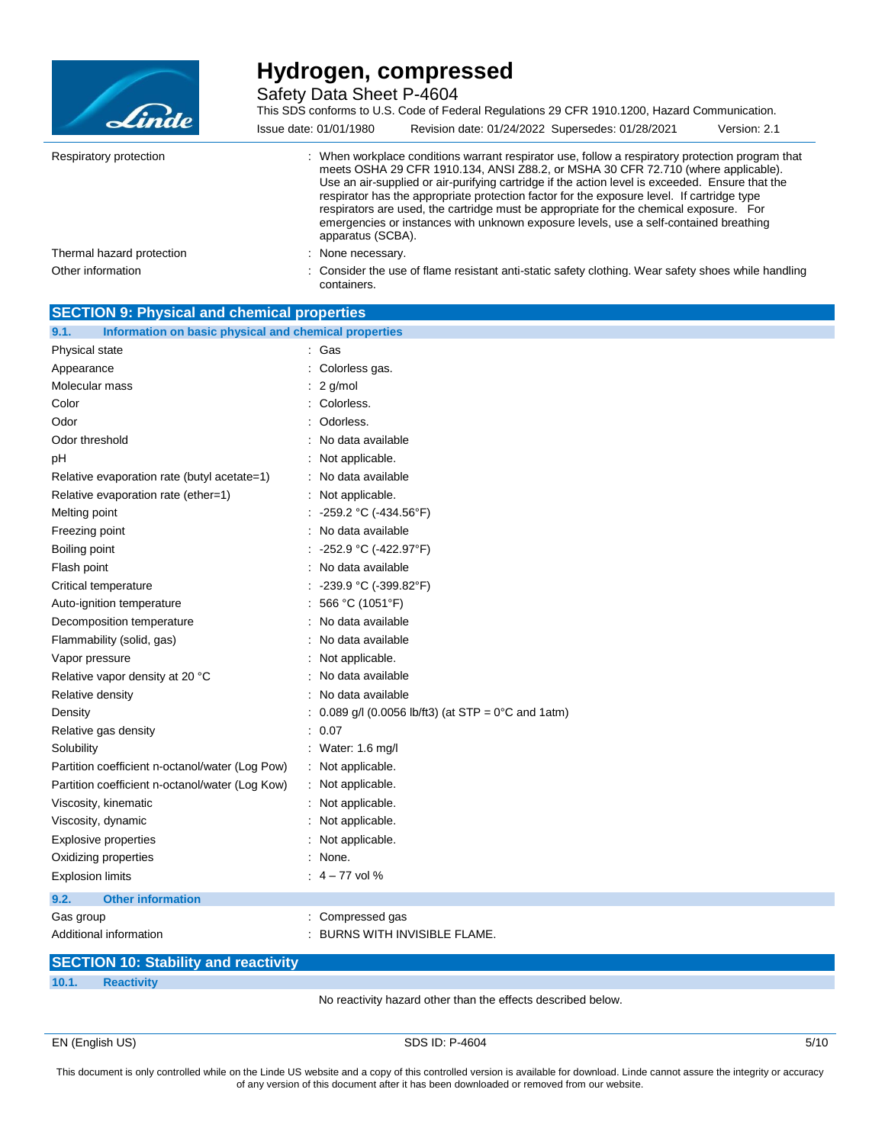

Safety Data Sheet P-4604

| Linde                     | This SDS conforms to U.S. Code of Federal Regulations 29 CFR 1910.1200, Hazard Communication.<br>Revision date: 01/24/2022 Supersedes: 01/28/2021<br>Issue date: 01/01/1980<br>Version: 2.1                                                                                                                                                                                                                                                                                                                                                                                                    |
|---------------------------|------------------------------------------------------------------------------------------------------------------------------------------------------------------------------------------------------------------------------------------------------------------------------------------------------------------------------------------------------------------------------------------------------------------------------------------------------------------------------------------------------------------------------------------------------------------------------------------------|
| Respiratory protection    | : When workplace conditions warrant respirator use, follow a respiratory protection program that<br>meets OSHA 29 CFR 1910.134, ANSI Z88.2, or MSHA 30 CFR 72.710 (where applicable).<br>Use an air-supplied or air-purifying cartridge if the action level is exceeded. Ensure that the<br>respirator has the appropriate protection factor for the exposure level. If cartridge type<br>respirators are used, the cartridge must be appropriate for the chemical exposure. For<br>emergencies or instances with unknown exposure levels, use a self-contained breathing<br>apparatus (SCBA). |
| Thermal hazard protection | : None necessary.                                                                                                                                                                                                                                                                                                                                                                                                                                                                                                                                                                              |
| Other information         | : Consider the use of flame resistant anti-static safety clothing. Wear safety shoes while handling<br>containers.                                                                                                                                                                                                                                                                                                                                                                                                                                                                             |

| <b>SECTION 9: Physical and chemical properties</b>            |                                                             |
|---------------------------------------------------------------|-------------------------------------------------------------|
| Information on basic physical and chemical properties<br>9.1. |                                                             |
| Physical state                                                | : Gas                                                       |
| Appearance                                                    | Colorless gas.                                              |
| Molecular mass                                                | 2 g/mol                                                     |
| Color                                                         | Colorless.                                                  |
| Odor                                                          | Odorless.                                                   |
| Odor threshold                                                | No data available                                           |
| pH                                                            | Not applicable.                                             |
| Relative evaporation rate (butyl acetate=1)                   | No data available                                           |
| Relative evaporation rate (ether=1)                           | Not applicable.                                             |
| Melting point                                                 | -259.2 °C (-434.56°F)                                       |
| Freezing point                                                | No data available                                           |
| Boiling point                                                 | -252.9 °C (-422.97°F)                                       |
| Flash point                                                   | No data available                                           |
| Critical temperature                                          | -239.9 °C (-399.82°F)                                       |
| Auto-ignition temperature                                     | 566 °C (1051°F)                                             |
| Decomposition temperature                                     | No data available                                           |
| Flammability (solid, gas)                                     | No data available                                           |
| Vapor pressure                                                | Not applicable.                                             |
| Relative vapor density at 20 °C                               | No data available                                           |
| Relative density                                              | No data available                                           |
| Density                                                       | 0.089 g/l (0.0056 lb/ft3) (at STP = $0^{\circ}$ C and 1atm) |
| Relative gas density                                          | : 0.07                                                      |
| Solubility                                                    | : Water: 1.6 mg/l                                           |
| Partition coefficient n-octanol/water (Log Pow)               | : Not applicable.                                           |
| Partition coefficient n-octanol/water (Log Kow)               | Not applicable.                                             |
| Viscosity, kinematic                                          | : Not applicable.                                           |
| Viscosity, dynamic                                            | Not applicable.                                             |
| <b>Explosive properties</b>                                   | Not applicable.                                             |
| Oxidizing properties                                          | None.                                                       |
| <b>Explosion limits</b>                                       | $: 4 - 77$ vol %                                            |
| <b>Other information</b><br>9.2.                              |                                                             |
| Gas group                                                     | Compressed gas                                              |
| Additional information                                        | BURNS WITH INVISIBLE FLAME.                                 |

## **SECTION 10: Stability and reactivity**

**10.1. Reactivity**

No reactivity hazard other than the effects described below.

EN (English US) SDS ID: P-4604 5/10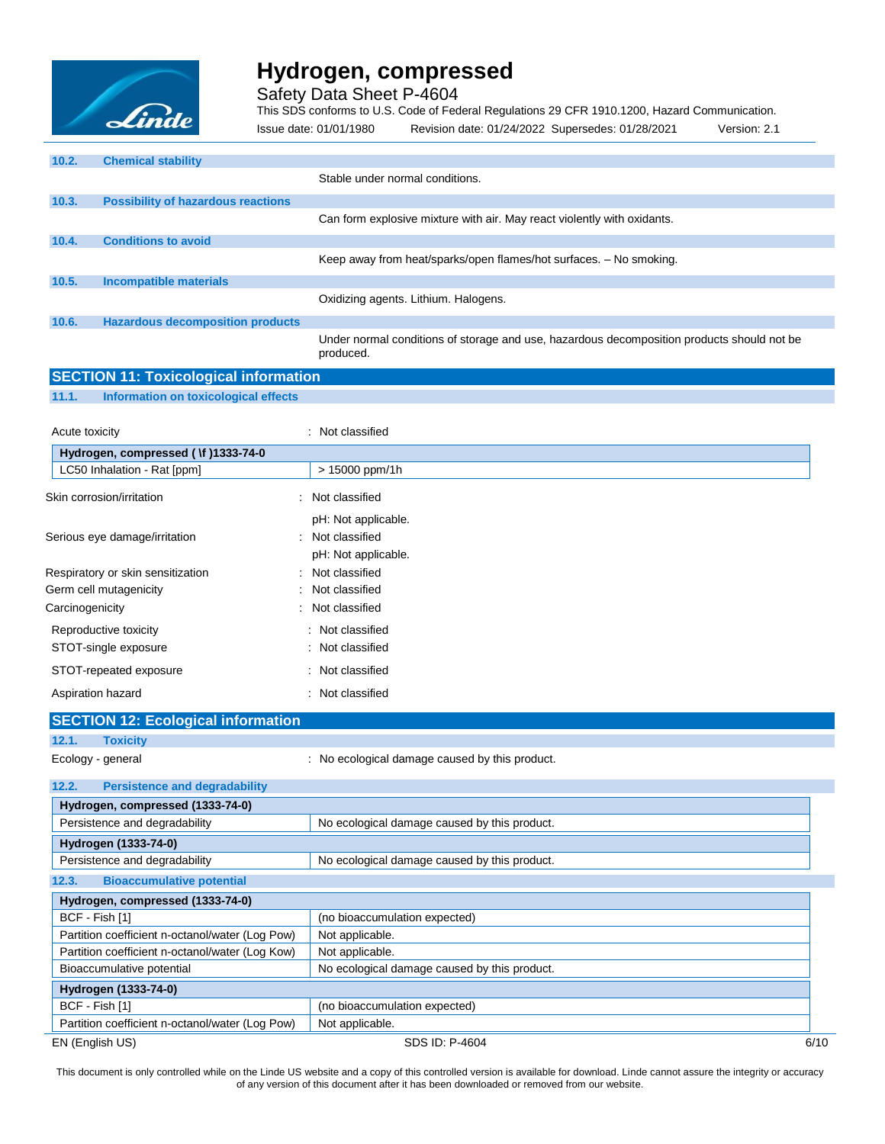

Safety Data Sheet P-4604

This SDS conforms to U.S. Code of Federal Regulations 29 CFR 1910.1200, Hazard Communication. Issue date: 01/01/1980 Revision date: 01/24/2022 Supersedes: 01/28/2021 Version: 2.1

| 10.2. | <b>Chemical stability</b>                 |                                                                                                         |
|-------|-------------------------------------------|---------------------------------------------------------------------------------------------------------|
|       |                                           | Stable under normal conditions.                                                                         |
| 10.3. | <b>Possibility of hazardous reactions</b> |                                                                                                         |
|       |                                           | Can form explosive mixture with air. May react violently with oxidants.                                 |
| 10.4. | <b>Conditions to avoid</b>                |                                                                                                         |
|       |                                           | Keep away from heat/sparks/open flames/hot surfaces. - No smoking.                                      |
| 10.5. | <b>Incompatible materials</b>             |                                                                                                         |
|       |                                           | Oxidizing agents. Lithium. Halogens.                                                                    |
| 10.6. | <b>Hazardous decomposition products</b>   |                                                                                                         |
|       |                                           | Under normal conditions of storage and use, hazardous decomposition products should not be<br>produced. |

|  |  |  | <b>SECTION 11: Toxicological information</b> |  |
|--|--|--|----------------------------------------------|--|
|  |  |  |                                              |  |
|  |  |  |                                              |  |

**11.1. Information on toxicological effects**

| Acute toxicity                       | : Not classified    |
|--------------------------------------|---------------------|
| Hydrogen, compressed ( \f )1333-74-0 |                     |
| LC50 Inhalation - Rat [ppm]          | > 15000 ppm/1h      |
| Skin corrosion/irritation            | : Not classified    |
|                                      | pH: Not applicable. |
| Serious eye damage/irritation        | : Not classified    |
|                                      | pH: Not applicable. |
| Respiratory or skin sensitization    | : Not classified    |
| Germ cell mutagenicity               | : Not classified    |
| Carcinogenicity                      | : Not classified    |
| Reproductive toxicity                | : Not classified    |
| STOT-single exposure                 | : Not classified    |
| STOT-repeated exposure               | : Not classified    |
| Aspiration hazard                    | Not classified      |

| <b>SECTION 12: Ecological information</b>       |                                                |      |
|-------------------------------------------------|------------------------------------------------|------|
| 12.1.<br><b>Toxicity</b>                        |                                                |      |
| Ecology - general                               | : No ecological damage caused by this product. |      |
|                                                 |                                                |      |
| <b>Persistence and degradability</b><br>12.2.   |                                                |      |
| Hydrogen, compressed (1333-74-0)                |                                                |      |
| Persistence and degradability                   | No ecological damage caused by this product.   |      |
| Hydrogen (1333-74-0)                            |                                                |      |
| Persistence and degradability                   | No ecological damage caused by this product.   |      |
| <b>Bioaccumulative potential</b><br>12.3.       |                                                |      |
| Hydrogen, compressed (1333-74-0)                |                                                |      |
| BCF - Fish [1]                                  | (no bioaccumulation expected)                  |      |
| Partition coefficient n-octanol/water (Log Pow) | Not applicable.                                |      |
| Partition coefficient n-octanol/water (Log Kow) | Not applicable.                                |      |
| Bioaccumulative potential                       | No ecological damage caused by this product.   |      |
| Hydrogen (1333-74-0)                            |                                                |      |
| BCF - Fish [1]                                  | (no bioaccumulation expected)                  |      |
| Partition coefficient n-octanol/water (Log Pow) | Not applicable.                                |      |
| EN (English US)                                 | SDS ID: P-4604                                 | 6/10 |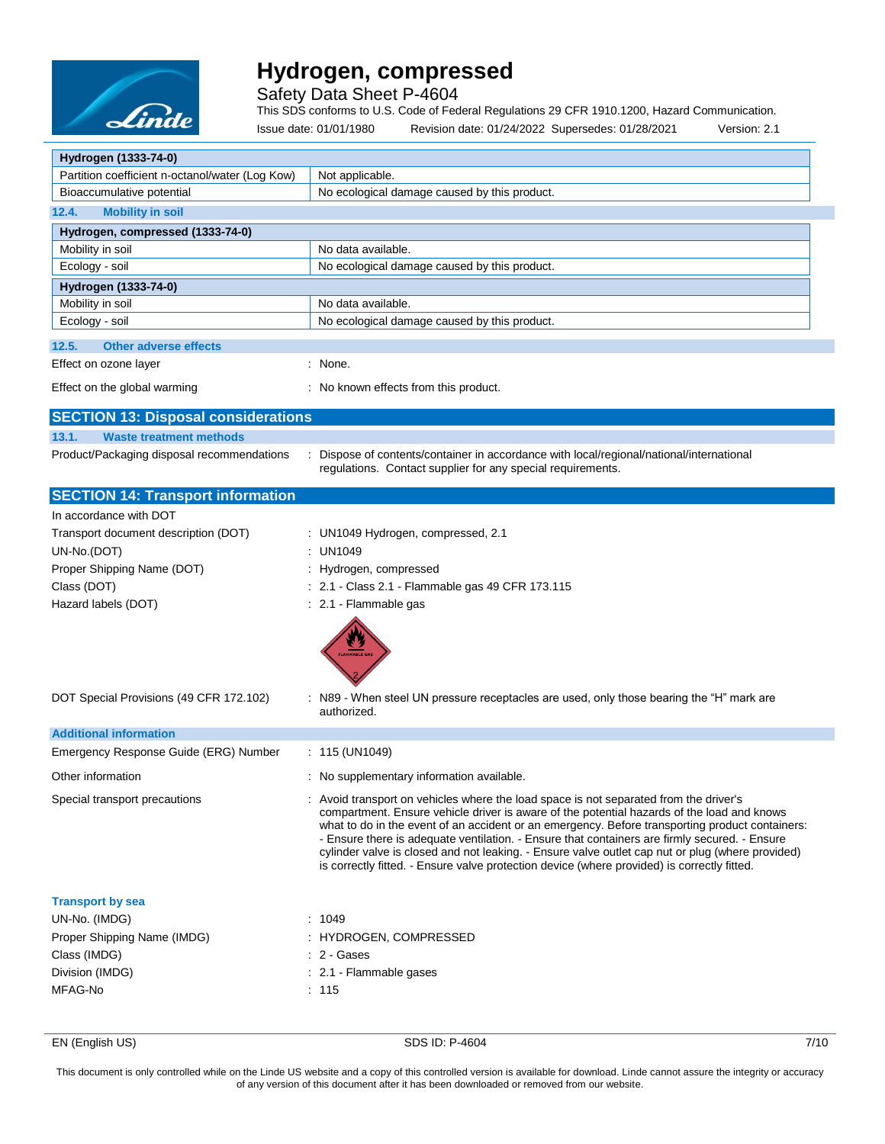

Safety Data Sheet P-4604

This SDS conforms to U.S. Code of Federal Regulations 29 CFR 1910.1200, Hazard Communication.

Issue date: 01/01/1980 Revision date: 01/24/2022 Supersedes: 01/28/2021 Version: 2.1

| Hydrogen (1333-74-0)                            |                                                                                                                                                                                                                                                                                                                                                                                                                                                                                                                                                                                            |
|-------------------------------------------------|--------------------------------------------------------------------------------------------------------------------------------------------------------------------------------------------------------------------------------------------------------------------------------------------------------------------------------------------------------------------------------------------------------------------------------------------------------------------------------------------------------------------------------------------------------------------------------------------|
| Partition coefficient n-octanol/water (Log Kow) | Not applicable.                                                                                                                                                                                                                                                                                                                                                                                                                                                                                                                                                                            |
| Bioaccumulative potential                       | No ecological damage caused by this product.                                                                                                                                                                                                                                                                                                                                                                                                                                                                                                                                               |
| 12.4.<br><b>Mobility in soil</b>                |                                                                                                                                                                                                                                                                                                                                                                                                                                                                                                                                                                                            |
| Hydrogen, compressed (1333-74-0)                |                                                                                                                                                                                                                                                                                                                                                                                                                                                                                                                                                                                            |
| Mobility in soil                                | No data available.                                                                                                                                                                                                                                                                                                                                                                                                                                                                                                                                                                         |
| Ecology - soil                                  | No ecological damage caused by this product.                                                                                                                                                                                                                                                                                                                                                                                                                                                                                                                                               |
| Hydrogen (1333-74-0)                            |                                                                                                                                                                                                                                                                                                                                                                                                                                                                                                                                                                                            |
| Mobility in soil                                | No data available.                                                                                                                                                                                                                                                                                                                                                                                                                                                                                                                                                                         |
| Ecology - soil                                  | No ecological damage caused by this product.                                                                                                                                                                                                                                                                                                                                                                                                                                                                                                                                               |
| 12.5.<br><b>Other adverse effects</b>           |                                                                                                                                                                                                                                                                                                                                                                                                                                                                                                                                                                                            |
| Effect on ozone layer                           | : None.                                                                                                                                                                                                                                                                                                                                                                                                                                                                                                                                                                                    |
| Effect on the global warming                    | : No known effects from this product.                                                                                                                                                                                                                                                                                                                                                                                                                                                                                                                                                      |
| <b>SECTION 13: Disposal considerations</b>      |                                                                                                                                                                                                                                                                                                                                                                                                                                                                                                                                                                                            |
| 13.1.<br><b>Waste treatment methods</b>         |                                                                                                                                                                                                                                                                                                                                                                                                                                                                                                                                                                                            |
| Product/Packaging disposal recommendations      | Dispose of contents/container in accordance with local/regional/national/international<br>regulations. Contact supplier for any special requirements.                                                                                                                                                                                                                                                                                                                                                                                                                                      |
| <b>SECTION 14: Transport information</b>        |                                                                                                                                                                                                                                                                                                                                                                                                                                                                                                                                                                                            |
| In accordance with DOT                          |                                                                                                                                                                                                                                                                                                                                                                                                                                                                                                                                                                                            |
| Transport document description (DOT)            | : UN1049 Hydrogen, compressed, 2.1                                                                                                                                                                                                                                                                                                                                                                                                                                                                                                                                                         |
| UN-No.(DOT)                                     | : UN1049                                                                                                                                                                                                                                                                                                                                                                                                                                                                                                                                                                                   |
| Proper Shipping Name (DOT)                      | : Hydrogen, compressed                                                                                                                                                                                                                                                                                                                                                                                                                                                                                                                                                                     |
| Class (DOT)                                     | : 2.1 - Class 2.1 - Flammable gas 49 CFR 173.115                                                                                                                                                                                                                                                                                                                                                                                                                                                                                                                                           |
| Hazard labels (DOT)                             | : 2.1 - Flammable gas                                                                                                                                                                                                                                                                                                                                                                                                                                                                                                                                                                      |
| DOT Special Provisions (49 CFR 172.102)         | N89 - When steel UN pressure receptacles are used, only those bearing the "H" mark are                                                                                                                                                                                                                                                                                                                                                                                                                                                                                                     |
|                                                 | authorized.                                                                                                                                                                                                                                                                                                                                                                                                                                                                                                                                                                                |
| <b>Additional information</b>                   |                                                                                                                                                                                                                                                                                                                                                                                                                                                                                                                                                                                            |
| Emergency Response Guide (ERG) Number           | : 115 (UN1049)                                                                                                                                                                                                                                                                                                                                                                                                                                                                                                                                                                             |
| Other information                               | : No supplementary information available.                                                                                                                                                                                                                                                                                                                                                                                                                                                                                                                                                  |
| Special transport precautions                   | : Avoid transport on vehicles where the load space is not separated from the driver's<br>compartment. Ensure vehicle driver is aware of the potential hazards of the load and knows<br>what to do in the event of an accident or an emergency. Before transporting product containers:<br>- Ensure there is adequate ventilation. - Ensure that containers are firmly secured. - Ensure<br>cylinder valve is closed and not leaking. - Ensure valve outlet cap nut or plug (where provided)<br>is correctly fitted. - Ensure valve protection device (where provided) is correctly fitted. |
| <b>Transport by sea</b>                         |                                                                                                                                                                                                                                                                                                                                                                                                                                                                                                                                                                                            |
| UN-No. (IMDG)                                   | : 1049                                                                                                                                                                                                                                                                                                                                                                                                                                                                                                                                                                                     |
| Proper Shipping Name (IMDG)                     | : HYDROGEN, COMPRESSED                                                                                                                                                                                                                                                                                                                                                                                                                                                                                                                                                                     |
| Class (IMDG)                                    | $: 2 - \text{Gases}$                                                                                                                                                                                                                                                                                                                                                                                                                                                                                                                                                                       |
| Division (IMDG)                                 | : 2.1 - Flammable gases                                                                                                                                                                                                                                                                                                                                                                                                                                                                                                                                                                    |
| MFAG-No                                         | : 115                                                                                                                                                                                                                                                                                                                                                                                                                                                                                                                                                                                      |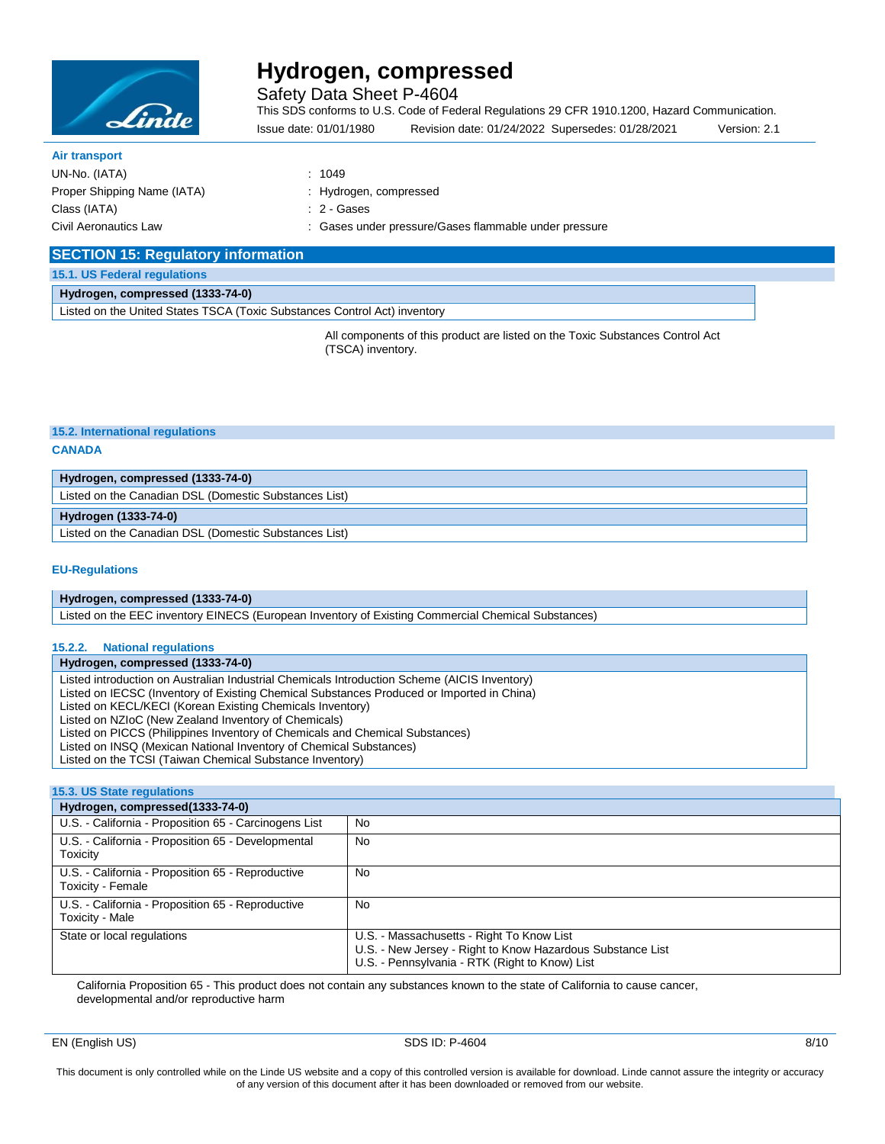

Safety Data Sheet P-4604

This SDS conforms to U.S. Code of Federal Regulations 29 CFR 1910.1200, Hazard Communication.

Issue date: 01/01/1980 Revision date: 01/24/2022 Supersedes: 01/28/2021 Version: 2.1

| <b>Air transport</b>        |
|-----------------------------|
| UN-No. (IATA)               |
| Proper Shipping Name (IATA) |
| Class (IATA)                |
| Civil Aeronautics Law       |

 $: 1049$ : Hydrogen, compressed

: 2 - Gases

: Gases under pressure/Gases flammable under pressure

| <b>SECTION 15: Regulatory information</b> |  |
|-------------------------------------------|--|
|-------------------------------------------|--|

### **15.1. US Federal regulations**

**Hydrogen, compressed (1333-74-0)**

Listed on the United States TSCA (Toxic Substances Control Act) inventory

All components of this product are listed on the Toxic Substances Control Act (TSCA) inventory.

**Hydrogen (1333-74-0)**

Listed on the Canadian DSL (Domestic Substances List)

### **EU-Regulations**

### **Hydrogen, compressed (1333-74-0)**

Listed on the EEC inventory EINECS (European Inventory of Existing Commercial Chemical Substances)

### **15.2.2. National regulations**

**Hydrogen, compressed (1333-74-0)**

Listed introduction on Australian Industrial Chemicals Introduction Scheme (AICIS Inventory)

Listed on IECSC (Inventory of Existing Chemical Substances Produced or Imported in China)

Listed on KECL/KECI (Korean Existing Chemicals Inventory)

Listed on NZIoC (New Zealand Inventory of Chemicals)

Listed on PICCS (Philippines Inventory of Chemicals and Chemical Substances)

Listed on INSQ (Mexican National Inventory of Chemical Substances)

Listed on the TCSI (Taiwan Chemical Substance Inventory)

### **15.3. US State regulations**

| Hydrogen, compressed(1333-74-0)                                        |                                                                                                                                                           |  |  |
|------------------------------------------------------------------------|-----------------------------------------------------------------------------------------------------------------------------------------------------------|--|--|
| U.S. - California - Proposition 65 - Carcinogens List                  | <b>No</b>                                                                                                                                                 |  |  |
| U.S. - California - Proposition 65 - Developmental<br>Toxicity         | <b>No</b>                                                                                                                                                 |  |  |
| U.S. - California - Proposition 65 - Reproductive<br>Toxicity - Female | <b>No</b>                                                                                                                                                 |  |  |
| U.S. - California - Proposition 65 - Reproductive<br>Toxicity - Male   | No                                                                                                                                                        |  |  |
| State or local regulations                                             | U.S. - Massachusetts - Right To Know List<br>U.S. - New Jersey - Right to Know Hazardous Substance List<br>U.S. - Pennsylvania - RTK (Right to Know) List |  |  |

California Proposition 65 - This product does not contain any substances known to the state of California to cause cancer, developmental and/or reproductive harm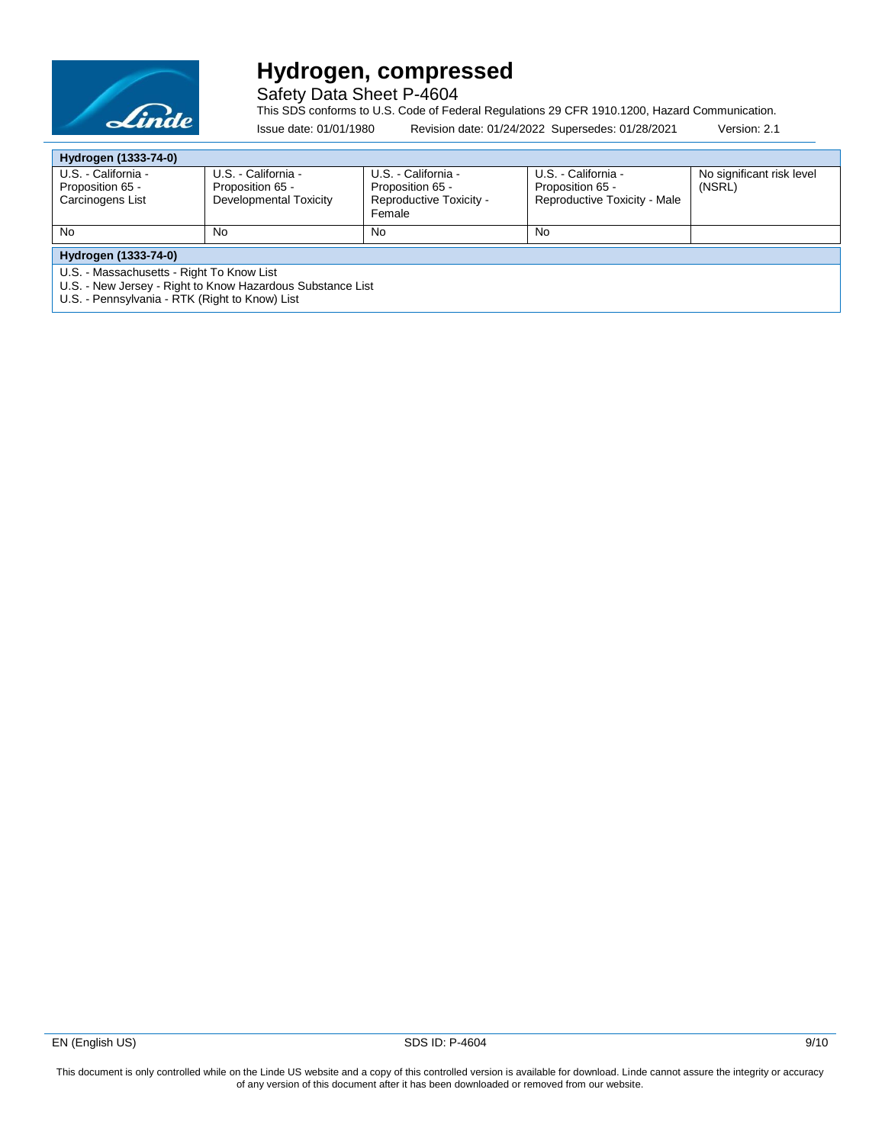

Safety Data Sheet P-4604

This SDS conforms to U.S. Code of Federal Regulations 29 CFR 1910.1200, Hazard Communication.

| Issue date: 01/01/1980 | Revision date: 01/24/2022 Supersedes: 01/28/2021 | Version: 2.1 |
|------------------------|--------------------------------------------------|--------------|

| Hydrogen (1333-74-0)                                       |                        |                                   |                              |                           |  |
|------------------------------------------------------------|------------------------|-----------------------------------|------------------------------|---------------------------|--|
| U.S. - California -                                        | U.S. - California -    | U.S. - California -               | U.S. - California -          | No significant risk level |  |
| Proposition 65 -                                           | Proposition 65 -       | Proposition 65 -                  | Proposition 65 -             | (NSRL)                    |  |
| Carcinogens List                                           | Developmental Toxicity | Reproductive Toxicity -<br>Female | Reproductive Toxicity - Male |                           |  |
|                                                            |                        |                                   |                              |                           |  |
| <b>No</b>                                                  | No                     | No                                | No                           |                           |  |
| Hydrogen (1333-74-0)                                       |                        |                                   |                              |                           |  |
| U.S. - Massachusetts - Right To Know List                  |                        |                                   |                              |                           |  |
| U.S. - New Jersey - Right to Know Hazardous Substance List |                        |                                   |                              |                           |  |
| U.S. - Pennsylvania - RTK (Right to Know) List             |                        |                                   |                              |                           |  |